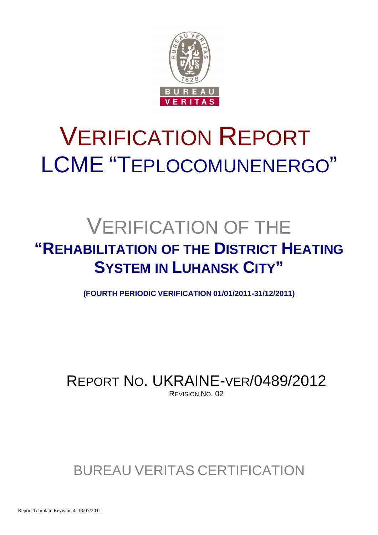

# VERIFICATION REPORT LCME "TEPLOCOMUNENERGO"

## VERIFICATION OF THE **"REHABILITATION OF THE DISTRICT HEATING SYSTEM IN LUHANSK CITY"**

**(FOURTH PERIODIC VERIFICATION 01/01/2011-31/12/2011)**

REPORT NO. UKRAINE-VER/0489/2012 REVISION NO. 02

## BUREAU VERITAS CERTIFICATION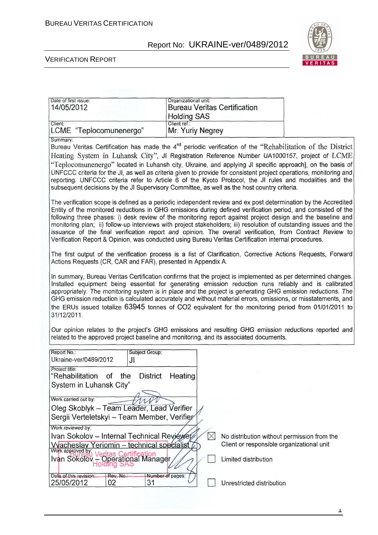

#### VERIFICATION REPORT

| Date of first issue:<br>14/05/2012                                                                                                                                                                                                                                                                                                                                                                                                                                                                                                                                                                                                                                                      | Organizational unit:<br><b>Bureau Veritas Certification</b><br><b>Holding SAS</b>                                                                                                                                                                                                                                                                                                                                                                                                                                                                             |                                                                   |  |  |  |
|-----------------------------------------------------------------------------------------------------------------------------------------------------------------------------------------------------------------------------------------------------------------------------------------------------------------------------------------------------------------------------------------------------------------------------------------------------------------------------------------------------------------------------------------------------------------------------------------------------------------------------------------------------------------------------------------|---------------------------------------------------------------------------------------------------------------------------------------------------------------------------------------------------------------------------------------------------------------------------------------------------------------------------------------------------------------------------------------------------------------------------------------------------------------------------------------------------------------------------------------------------------------|-------------------------------------------------------------------|--|--|--|
| Client:<br>LCME "Teplocomunenergo"                                                                                                                                                                                                                                                                                                                                                                                                                                                                                                                                                                                                                                                      | Client ref.:<br>Mr. Yuriy Negrey                                                                                                                                                                                                                                                                                                                                                                                                                                                                                                                              |                                                                   |  |  |  |
| Summary:<br>Bureau Veritas Certification has made the 4 <sup>nd</sup> periodic verification of the "Rehabilitation of the District<br>Heating System in Luhansk City", JI Registration Reference Number UA1000157, project of LCME<br>"Teplocomunenergo" located in Luhansh city, Ukraine, and applying JI specific approach], on the basis of<br>UNFCCC criteria for the JI, as well as criteria given to provide for consistent project operations, monitoring and<br>reporting. UNFCCC criteria refer to Article 6 of the Kyoto Protocol, the JI rules and modalities and the<br>subsequent decisions by the JI Supervisory Committee, as well as the host country criteria.         |                                                                                                                                                                                                                                                                                                                                                                                                                                                                                                                                                               |                                                                   |  |  |  |
| The verification scope is defined as a periodic independent review and ex post determination by the Accredited<br>Entity of the monitored reductions in GHG emissions during defined verification period, and consisted of the<br>following three phases: i) desk review of the monitoring report against project design and the baseline and<br>monitoring plan; ii) follow-up interviews with project stakeholders; iii) resolution of outstanding issues and the<br>issuance of the final verification report and opinion. The overall verification, from Contract Review to<br>Verification Report & Opinion, was conducted using Bureau Veritas Certification internal procedures. |                                                                                                                                                                                                                                                                                                                                                                                                                                                                                                                                                               |                                                                   |  |  |  |
| The first output of the verification process is a list of Clarification, Corrective Actions Requests, Forward<br>Actions Requests (CR, CAR and FAR), presented in Appendix A.                                                                                                                                                                                                                                                                                                                                                                                                                                                                                                           |                                                                                                                                                                                                                                                                                                                                                                                                                                                                                                                                                               |                                                                   |  |  |  |
| 31/12/2011.                                                                                                                                                                                                                                                                                                                                                                                                                                                                                                                                                                                                                                                                             | In summary, Bureau Veritas Certification confirms that the project is implemented as per determined changes.<br>Installed equipment being essential for generating emission reduction runs reliably and is calibrated<br>appropriately. The monitoring system is in place and the project is generating GHG emission reductions. The<br>GHG emission reduction is calculated accurately and without material errors, omissions, or misstatements, and<br>the ERUs issued totalize 63945 tonnes of CO2 equivalent for the monitoring period from 01/01/2011 to |                                                                   |  |  |  |
| Our opinion relates to the project's GHG emissions and resulting GHG emission reductions reported and<br>related to the approved project baseline and monitoring, and its associated documents.                                                                                                                                                                                                                                                                                                                                                                                                                                                                                         |                                                                                                                                                                                                                                                                                                                                                                                                                                                                                                                                                               |                                                                   |  |  |  |
| Report No.:<br>Subject Group:<br>Ukraine-ver/0489/2012<br>JI                                                                                                                                                                                                                                                                                                                                                                                                                                                                                                                                                                                                                            |                                                                                                                                                                                                                                                                                                                                                                                                                                                                                                                                                               |                                                                   |  |  |  |
| Project title:<br>"Rehabilitation<br>the<br><b>District</b><br>of<br>System in Luhansk City"                                                                                                                                                                                                                                                                                                                                                                                                                                                                                                                                                                                            | Heating                                                                                                                                                                                                                                                                                                                                                                                                                                                                                                                                                       |                                                                   |  |  |  |
| Work carried out by:<br>Oleg Skoblyk - Team Leader, Lead Verifier<br>Sergii Verteletskyi - Team Member, Verifier                                                                                                                                                                                                                                                                                                                                                                                                                                                                                                                                                                        |                                                                                                                                                                                                                                                                                                                                                                                                                                                                                                                                                               |                                                                   |  |  |  |
| Work reviewed by:                                                                                                                                                                                                                                                                                                                                                                                                                                                                                                                                                                                                                                                                       |                                                                                                                                                                                                                                                                                                                                                                                                                                                                                                                                                               |                                                                   |  |  |  |
| Ivan Sokolov - Internal Technical Reviewer                                                                                                                                                                                                                                                                                                                                                                                                                                                                                                                                                                                                                                              | $\boxtimes$                                                                                                                                                                                                                                                                                                                                                                                                                                                                                                                                                   | No distribution without permission from the                       |  |  |  |
| Vyacheslav Yeriomin - technical specialist<br>Work approved by:<br>Work approved by Veritas Certification<br>Ivan Sokolov – Operational Manager                                                                                                                                                                                                                                                                                                                                                                                                                                                                                                                                         |                                                                                                                                                                                                                                                                                                                                                                                                                                                                                                                                                               | Client or responsible organizational unit<br>Limited distribution |  |  |  |
| Date of this revision:<br>Rev. No.:<br>31<br>25/05/2012<br>02                                                                                                                                                                                                                                                                                                                                                                                                                                                                                                                                                                                                                           | Number of pages:                                                                                                                                                                                                                                                                                                                                                                                                                                                                                                                                              | Unrestricted distribution                                         |  |  |  |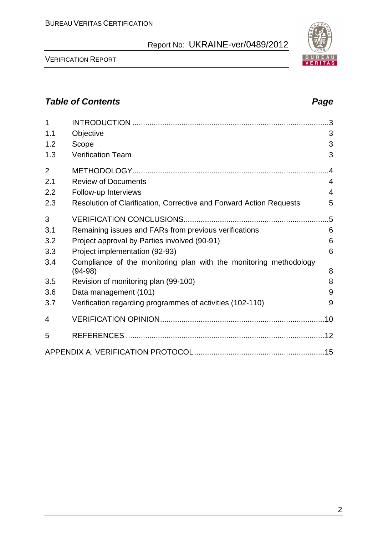VERIFICATION REPORT

| 1              |                                                                                |                |
|----------------|--------------------------------------------------------------------------------|----------------|
| 1.1            | Objective                                                                      | 3              |
| 1.2            | Scope                                                                          | 3              |
| 1.3            | <b>Verification Team</b>                                                       | 3              |
| $\overline{2}$ |                                                                                | .4             |
| 2.1            | <b>Review of Documents</b>                                                     | $\overline{4}$ |
| 2.2            | Follow-up Interviews                                                           | $\overline{4}$ |
| 2.3            | Resolution of Clarification, Corrective and Forward Action Requests            | 5              |
| 3              |                                                                                | .5             |
| 3.1            | Remaining issues and FARs from previous verifications                          | 6              |
| 3.2            | Project approval by Parties involved (90-91)                                   | 6              |
| 3.3            | Project implementation (92-93)                                                 | 6              |
| 3.4            | Compliance of the monitoring plan with the monitoring methodology<br>$(94-98)$ | 8              |
| 3.5            | Revision of monitoring plan (99-100)                                           | 8              |
| 3.6            | Data management (101)                                                          | 9              |
| 3.7            | Verification regarding programmes of activities (102-110)                      | 9              |
| 4              |                                                                                |                |
| 5              |                                                                                |                |
|                |                                                                                |                |

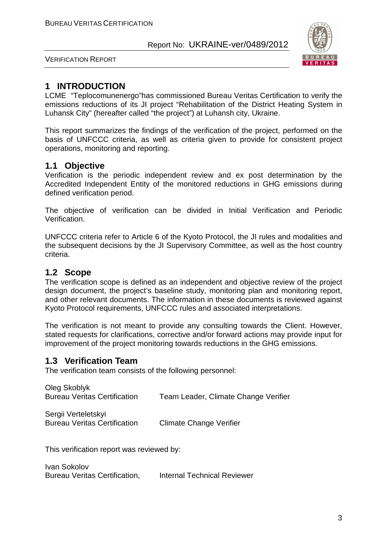

VERIFICATION REPORT

#### **1 INTRODUCTION**

LCME "Teplocomunenergo"has commissioned Bureau Veritas Certification to verify the emissions reductions of its JI project "Rehabilitation of the District Heating System in Luhansk City" (hereafter called "the project") at Luhansh city, Ukraine.

This report summarizes the findings of the verification of the project, performed on the basis of UNFCCC criteria, as well as criteria given to provide for consistent project operations, monitoring and reporting.

#### **1.1 Objective**

Verification is the periodic independent review and ex post determination by the Accredited Independent Entity of the monitored reductions in GHG emissions during defined verification period.

The objective of verification can be divided in Initial Verification and Periodic Verification.

UNFCCC criteria refer to Article 6 of the Kyoto Protocol, the JI rules and modalities and the subsequent decisions by the JI Supervisory Committee, as well as the host country criteria.

#### **1.2 Scope**

The verification scope is defined as an independent and objective review of the project design document, the project's baseline study, monitoring plan and monitoring report, and other relevant documents. The information in these documents is reviewed against Kyoto Protocol requirements, UNFCCC rules and associated interpretations.

The verification is not meant to provide any consulting towards the Client. However, stated requests for clarifications, corrective and/or forward actions may provide input for improvement of the project monitoring towards reductions in the GHG emissions.

#### **1.3 Verification Team**

The verification team consists of the following personnel:

| Oleg Skoblyk<br><b>Bureau Veritas Certification</b>        | Team Leader, Climate Change Verifier |
|------------------------------------------------------------|--------------------------------------|
| Sergii Verteletskyi<br><b>Bureau Veritas Certification</b> | Climate Change Verifier              |

This verification report was reviewed by:

Ivan Sokolov Bureau Veritas Certification, Internal Technical Reviewer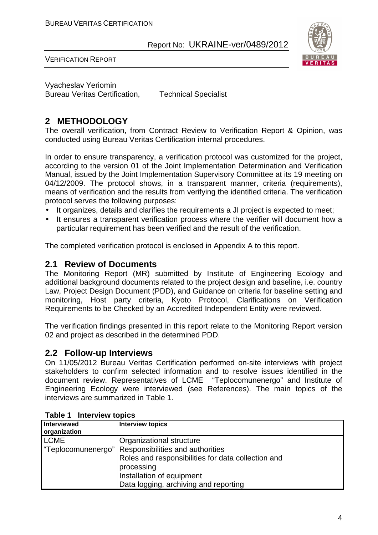

VERIFICATION REPORT

Vyacheslav Yeriomin Bureau Veritas Certification, Technical Specialist

#### **2 METHODOLOGY**

The overall verification, from Contract Review to Verification Report & Opinion, was conducted using Bureau Veritas Certification internal procedures.

In order to ensure transparency, a verification protocol was customized for the project, according to the version 01 of the Joint Implementation Determination and Verification Manual, issued by the Joint Implementation Supervisory Committee at its 19 meeting on 04/12/2009. The protocol shows, in a transparent manner, criteria (requirements), means of verification and the results from verifying the identified criteria. The verification protocol serves the following purposes:

- It organizes, details and clarifies the requirements a JI project is expected to meet;
- It ensures a transparent verification process where the verifier will document how a particular requirement has been verified and the result of the verification.

The completed verification protocol is enclosed in Appendix A to this report.

#### **2.1 Review of Documents**

The Monitoring Report (MR) submitted by Institute of Engineering Ecology and additional background documents related to the project design and baseline, i.e. country Law, Project Design Document (PDD), and Guidance on criteria for baseline setting and monitoring, Host party criteria, Kyoto Protocol, Clarifications on Verification Requirements to be Checked by an Accredited Independent Entity were reviewed.

The verification findings presented in this report relate to the Monitoring Report version 02 and project as described in the determined PDD.

#### **2.2 Follow-up Interviews**

On 11/05/2012 Bureau Veritas Certification performed on-site interviews with project stakeholders to confirm selected information and to resolve issues identified in the document review. Representatives of LCME "Teplocomunenergo" and Institute of Engineering Ecology were interviewed (see References). The main topics of the interviews are summarized in Table 1.

| Interviewed<br>organization | <b>Interview topics</b>                               |
|-----------------------------|-------------------------------------------------------|
| <b>LCME</b>                 | Organizational structure                              |
|                             | "Teplocomunenergo"   Responsibilities and authorities |
|                             | Roles and responsibilities for data collection and    |
|                             | processing                                            |
|                             | Installation of equipment                             |
|                             | Data logging, archiving and reporting                 |

**Table 1 Interview topics**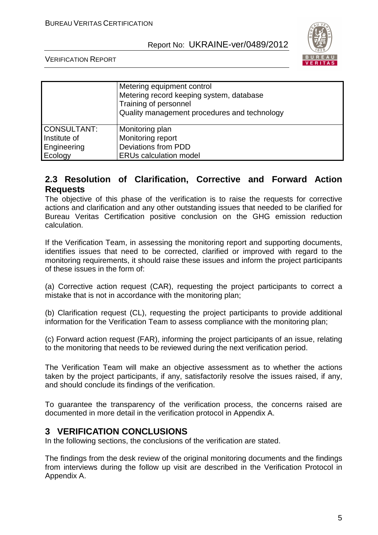

VERIFICATION REPORT

|                                                              | Metering equipment control<br>Metering record keeping system, database<br>Training of personnel<br>Quality management procedures and technology |
|--------------------------------------------------------------|-------------------------------------------------------------------------------------------------------------------------------------------------|
| <b>CONSULTANT:</b><br>Institute of<br>Engineering<br>Ecology | Monitoring plan<br>Monitoring report<br><b>Deviations from PDD</b><br><b>ERUs calculation model</b>                                             |

#### **2.3 Resolution of Clarification, Corrective and Forward Action Requests**

The objective of this phase of the verification is to raise the requests for corrective actions and clarification and any other outstanding issues that needed to be clarified for Bureau Veritas Certification positive conclusion on the GHG emission reduction calculation.

If the Verification Team, in assessing the monitoring report and supporting documents, identifies issues that need to be corrected, clarified or improved with regard to the monitoring requirements, it should raise these issues and inform the project participants of these issues in the form of:

(a) Corrective action request (CAR), requesting the project participants to correct a mistake that is not in accordance with the monitoring plan;

(b) Clarification request (CL), requesting the project participants to provide additional information for the Verification Team to assess compliance with the monitoring plan;

(c) Forward action request (FAR), informing the project participants of an issue, relating to the monitoring that needs to be reviewed during the next verification period.

The Verification Team will make an objective assessment as to whether the actions taken by the project participants, if any, satisfactorily resolve the issues raised, if any, and should conclude its findings of the verification.

To guarantee the transparency of the verification process, the concerns raised are documented in more detail in the verification protocol in Appendix A.

#### **3 VERIFICATION CONCLUSIONS**

In the following sections, the conclusions of the verification are stated.

The findings from the desk review of the original monitoring documents and the findings from interviews during the follow up visit are described in the Verification Protocol in Appendix A.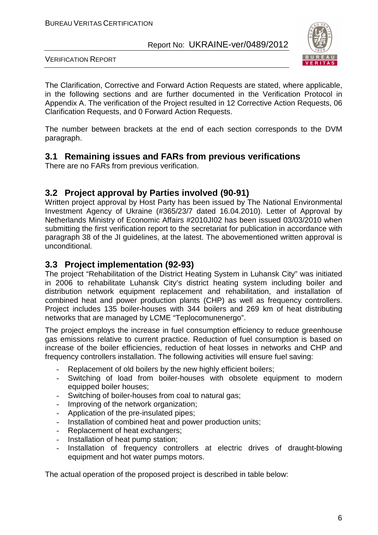

VERIFICATION REPORT

The Clarification, Corrective and Forward Action Requests are stated, where applicable, in the following sections and are further documented in the Verification Protocol in Appendix A. The verification of the Project resulted in 12 Corrective Action Requests, 06 Clarification Requests, and 0 Forward Action Requests.

The number between brackets at the end of each section corresponds to the DVM paragraph.

#### **3.1 Remaining issues and FARs from previous verifications**

There are no FARs from previous verification.

#### **3.2 Project approval by Parties involved (90-91)**

Written project approval by Host Party has been issued by The National Environmental Investment Agency of Ukraine (#365/23/7 dated 16.04.2010). Letter of Approval by Netherlands Ministry of Economic Affairs #2010JI02 has been issued 03/03/2010 when submitting the first verification report to the secretariat for publication in accordance with paragraph 38 of the JI guidelines, at the latest. The abovementioned written approval is unconditional.

#### **3.3 Project implementation (92-93)**

The project "Rehabilitation of the District Heating System in Luhansk City" was initiated in 2006 to rehabilitate Luhansk City's district heating system including boiler and distribution network equipment replacement and rehabilitation, and installation of combined heat and power production plants (CHP) as well as frequency controllers. Project includes 135 boiler-houses with 344 boilers and 269 km of heat distributing networks that are managed by LCME "Teplocomunenergo".

The project employs the increase in fuel consumption efficiency to reduce greenhouse gas emissions relative to current practice. Reduction of fuel consumption is based on increase of the boiler efficiencies, reduction of heat losses in networks and CHP and frequency controllers installation. The following activities will ensure fuel saving:

- Replacement of old boilers by the new highly efficient boilers;
- Switching of load from boiler-houses with obsolete equipment to modern equipped boiler houses;
- Switching of boiler-houses from coal to natural gas;
- Improving of the network organization;
- Application of the pre-insulated pipes;
- Installation of combined heat and power production units;
- Replacement of heat exchangers;
- Installation of heat pump station;
- Installation of frequency controllers at electric drives of draught-blowing equipment and hot water pumps motors.

The actual operation of the proposed project is described in table below: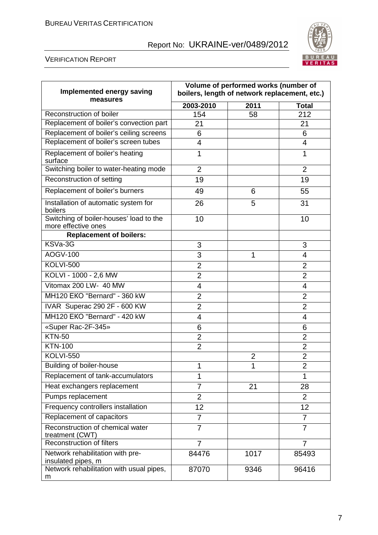

#### VERIFICATION REPORT

| Implemented energy saving<br>measures                          | Volume of performed works (number of<br>boilers, length of network replacement, etc.) |                |                |
|----------------------------------------------------------------|---------------------------------------------------------------------------------------|----------------|----------------|
|                                                                | 2003-2010                                                                             | 2011           | <b>Total</b>   |
| Reconstruction of boiler                                       | 154                                                                                   | 58             | 212            |
| Replacement of boiler's convection part                        | 21                                                                                    |                | 21             |
| Replacement of boiler's ceiling screens                        | 6                                                                                     |                | 6              |
| Replacement of boiler's screen tubes                           | 4                                                                                     |                | 4              |
| Replacement of boiler's heating<br>surface                     | 1                                                                                     |                | 1              |
| Switching boiler to water-heating mode                         | $\overline{2}$                                                                        |                | $\overline{2}$ |
| Reconstruction of setting                                      | 19                                                                                    |                | 19             |
| Replacement of boiler's burners                                | 49                                                                                    | 6              | 55             |
| Installation of automatic system for<br>boilers                | 26                                                                                    | 5              | 31             |
| Switching of boiler-houses' load to the<br>more effective ones | 10                                                                                    |                | 10             |
| <b>Replacement of boilers:</b>                                 |                                                                                       |                |                |
| KSVa-3G                                                        | 3                                                                                     |                | 3              |
| AOGV-100                                                       | 3                                                                                     | 1              | 4              |
| <b>KOLVI-500</b>                                               | $\overline{2}$                                                                        |                | $\overline{2}$ |
| KOLVI - 1000 - 2,6 MW                                          | $\overline{2}$                                                                        |                | $\overline{2}$ |
| Vitomax 200 LW- 40 MW                                          | 4                                                                                     |                | 4              |
| MH120 EKO "Bernard" - 360 kW                                   | $\overline{2}$                                                                        |                | $\overline{2}$ |
| IVAR Superac 290 2F - 600 KW                                   | $\overline{2}$                                                                        |                | $\overline{2}$ |
| MH120 EKO "Bernard" - 420 kW                                   | 4                                                                                     |                | 4              |
| «Super Rac-2F-345»                                             | 6                                                                                     |                | 6              |
| <b>KTN-50</b>                                                  | $\overline{2}$                                                                        |                | $\overline{2}$ |
| <b>KTN-100</b>                                                 | $\overline{2}$                                                                        |                | $\overline{2}$ |
| <b>KOLVI-550</b>                                               |                                                                                       | $\overline{2}$ | $\overline{2}$ |
| <b>Building of boiler-house</b>                                | 1                                                                                     | 1              | 2              |
| Replacement of tank-accumulators                               | 1                                                                                     |                | 1              |
| Heat exchangers replacement                                    | $\overline{7}$                                                                        | 21             | 28             |
| Pumps replacement                                              | $\overline{2}$                                                                        |                | $\overline{2}$ |
| Frequency controllers installation                             | 12                                                                                    |                | 12             |
| Replacement of capacitors                                      | $\overline{7}$                                                                        |                | $\overline{7}$ |
| Reconstruction of chemical water<br>treatment (CWT)            | $\overline{7}$                                                                        |                | $\overline{7}$ |
| <b>Reconstruction of filters</b>                               | $\overline{7}$                                                                        |                | 7              |
| Network rehabilitation with pre-<br>insulated pipes, m         | 84476                                                                                 | 1017           | 85493          |
| Network rehabilitation with usual pipes,<br>m                  | 87070                                                                                 | 9346           | 96416          |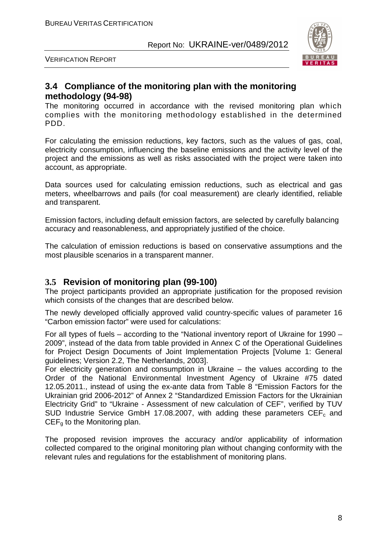

VERIFICATION REPORT

#### **3.4 Compliance of the monitoring plan with the monitoring methodology (94-98)**

The monitoring occurred in accordance with the revised monitoring plan which complies with the monitoring methodology established in the determined PDD.

For calculating the emission reductions, key factors, such as the values of gas, coal, electricity consumption, influencing the baseline emissions and the activity level of the project and the emissions as well as risks associated with the project were taken into account, as appropriate.

Data sources used for calculating emission reductions, such as electrical and gas meters, wheelbarrows and pails (for coal measurement) are clearly identified, reliable and transparent.

Emission factors, including default emission factors, are selected by carefully balancing accuracy and reasonableness, and appropriately justified of the choice.

The calculation of emission reductions is based on conservative assumptions and the most plausible scenarios in a transparent manner.

#### **3.5 Revision of monitoring plan (99-100)**

The project participants provided an appropriate justification for the proposed revision which consists of the changes that are described below.

The newly developed officially approved valid country-specific values of parameter 16 "Carbon emission factor" were used for calculations:

For all types of fuels – according to the "National inventory report of Ukraine for 1990 – 2009", instead of the data from table provided in Annex C of the Operational Guidelines for Project Design Documents of Joint Implementation Projects [Volume 1: General guidelines; Version 2.2, The Netherlands, 2003].

For electricity generation and consumption in Ukraine – the values according to the Order of the National Environmental Investment Agency of Ukraine #75 dated 12.05.2011., instead of using the ex-ante data from Table 8 "Emission Factors for the Ukrainian grid 2006-2012" of Annex 2 "Standardized Emission Factors for the Ukrainian Electricity Grid" to "Ukraine - Assessment of new calculation of CEF", verified by TUV SUD Industrie Service GmbH 17.08.2007, with adding these parameters  $CEF_c$  and  $CEF<sub>q</sub>$  to the Monitoring plan.

The proposed revision improves the accuracy and/or applicability of information collected compared to the original monitoring plan without changing conformity with the relevant rules and regulations for the establishment of monitoring plans.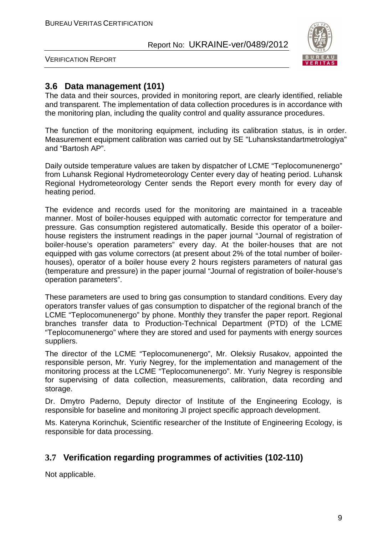

VERIFICATION REPORT

#### **3.6 Data management (101)**

The data and their sources, provided in monitoring report, are clearly identified, reliable and transparent. The implementation of data collection procedures is in accordance with the monitoring plan, including the quality control and quality assurance procedures.

The function of the monitoring equipment, including its calibration status, is in order. Measurement equipment calibration was carried out by SE "Luhanskstandartmetrologiya" and "Bartosh AP".

Daily outside temperature values are taken by dispatcher of LCME "Teplocomunenergo" from Luhansk Regional Hydrometeorology Center every day of heating period. Luhansk Regional Hydrometeorology Center sends the Report every month for every day of heating period.

The evidence and records used for the monitoring are maintained in a traceable manner. Most of boiler-houses equipped with automatic corrector for temperature and pressure. Gas consumption registered automatically. Beside this operator of a boilerhouse registers the instrument readings in the paper journal "Journal of registration of boiler-house's operation parameters" every day. At the boiler-houses that are not equipped with gas volume correctors (at present about 2% of the total number of boilerhouses), operator of a boiler house every 2 hours registers parameters of natural gas (temperature and pressure) in the paper journal "Journal of registration of boiler-house's operation parameters".

These parameters are used to bring gas consumption to standard conditions. Every day operators transfer values of gas consumption to dispatcher of the regional branch of the LCME "Teplocomunenergo" by phone. Monthly they transfer the paper report. Regional branches transfer data to Production-Technical Department (PTD) of the LCME "Teplocomunenergo" where they are stored and used for payments with energy sources suppliers.

The director of the LCME "Teplocomunenergo", Mr. Oleksiy Rusakov, appointed the responsible person, Mr. Yuriy Negrey, for the implementation and management of the monitoring process at the LCME "Teplocomunenergo". Mr. Yuriy Negrey is responsible for supervising of data collection, measurements, calibration, data recording and storage.

Dr. Dmytro Paderno, Deputy director of Institute of the Engineering Ecology, is responsible for baseline and monitoring JI project specific approach development.

Ms. Kateryna Korinchuk, Scientific researcher of the Institute of Engineering Ecology, is responsible for data processing.

#### **3.7 Verification regarding programmes of activities (102-110)**

Not applicable.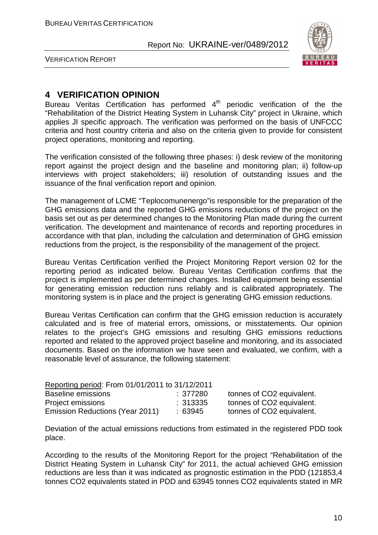

VERIFICATION REPORT

#### **4 VERIFICATION OPINION**

Bureau Veritas Certification has performed  $4<sup>th</sup>$  periodic verification of the the "Rehabilitation of the District Heating System in Luhansk City" project in Ukraine, which applies JI specific approach. The verification was performed on the basis of UNFCCC criteria and host country criteria and also on the criteria given to provide for consistent project operations, monitoring and reporting.

The verification consisted of the following three phases: i) desk review of the monitoring report against the project design and the baseline and monitoring plan; ii) follow-up interviews with project stakeholders; iii) resolution of outstanding issues and the issuance of the final verification report and opinion.

The management of LCME "Teplocomunenergo"is responsible for the preparation of the GHG emissions data and the reported GHG emissions reductions of the project on the basis set out as per determined changes to the Monitoring Plan made during the current verification. The development and maintenance of records and reporting procedures in accordance with that plan, including the calculation and determination of GHG emission reductions from the project, is the responsibility of the management of the project.

Bureau Veritas Certification verified the Project Monitoring Report version 02 for the reporting period as indicated below. Bureau Veritas Certification confirms that the project is implemented as per determined changes. Installed equipment being essential for generating emission reduction runs reliably and is calibrated appropriately. The monitoring system is in place and the project is generating GHG emission reductions.

Bureau Veritas Certification can confirm that the GHG emission reduction is accurately calculated and is free of material errors, omissions, or misstatements. Our opinion relates to the project's GHG emissions and resulting GHG emissions reductions reported and related to the approved project baseline and monitoring, and its associated documents. Based on the information we have seen and evaluated, we confirm, with a reasonable level of assurance, the following statement:

| Reporting period: From 01/01/2011 to 31/12/2011 |         |                           |
|-------------------------------------------------|---------|---------------------------|
| Baseline emissions                              | :377280 | tonnes of CO2 equivalent. |
| Project emissions                               | :313335 | tonnes of CO2 equivalent. |
| Emission Reductions (Year 2011)                 | :63945  | tonnes of CO2 equivalent. |

Deviation of the actual emissions reductions from estimated in the registered PDD took place.

According to the results of the Monitoring Report for the project "Rehabilitation of the District Heating System in Luhansk City" for 2011, the actual achieved GHG emission reductions are less than it was indicated as prognostic estimation in the PDD (121853,4 tonnes CO2 equivalents stated in PDD and 63945 tonnes CO2 equivalents stated in MR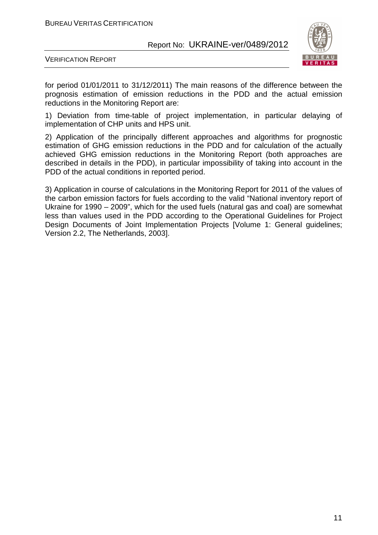

VERIFICATION REPORT

for period 01/01/2011 to 31/12/2011) The main reasons of the difference between the prognosis estimation of emission reductions in the PDD and the actual emission reductions in the Monitoring Report are:

1) Deviation from time-table of project implementation, in particular delaying of implementation of CHP units and HPS unit.

2) Application of the principally different approaches and algorithms for prognostic estimation of GHG emission reductions in the PDD and for calculation of the actually achieved GHG emission reductions in the Monitoring Report (both approaches are described in details in the PDD), in particular impossibility of taking into account in the PDD of the actual conditions in reported period.

3) Application in course of calculations in the Monitoring Report for 2011 of the values of the carbon emission factors for fuels according to the valid "National inventory report of Ukraine for 1990 – 2009", which for the used fuels (natural gas and coal) are somewhat less than values used in the PDD according to the Operational Guidelines for Project Desian Documents of Joint Implementation Projects [Volume 1: General guidelines; Version 2.2, The Netherlands, 2003].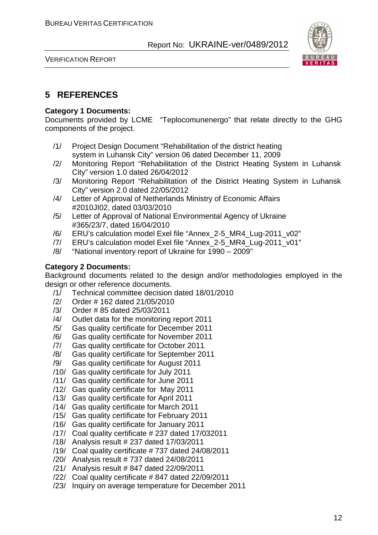



#### **5 REFERENCES**

#### **Category 1 Documents:**

Documents provided by LCME "Teplocomunenergo" that relate directly to the GHG components of the project.

- /1/ Project Design Document "Rehabilitation of the district heating system in Luhansk City" version 06 dated December 11, 2009
- /2/ Monitoring Report "Rehabilitation of the District Heating System in Luhansk City" version 1.0 dated 26/04/2012
- /3/ Monitoring Report "Rehabilitation of the District Heating System in Luhansk City" version 2.0 dated 22/05/2012
- /4/ Letter of Approval of Netherlands Ministry of Economic Affairs #2010JI02, dated 03/03/2010
- /5/ Letter of Approval of National Environmental Agency of Ukraine #365/23/7, dated 16/04/2010
- /6/ ERU's calculation model Exel file "Annex\_2-5\_MR4\_Lug-2011\_v02"
- /7/ ERU's calculation model Exel file "Annex\_2-5\_MR4\_Lug-2011\_v01"
- /8/ "National inventory report of Ukraine for 1990 2009"

#### **Category 2 Documents:**

Background documents related to the design and/or methodologies employed in the design or other reference documents.

- /1/ Technical committee decision dated 18/01/2010
- /2/ Order # 162 dated 21/05/2010
- /3/ Order # 85 dated 25/03/2011
- /4/ Outlet data for the monitoring report 2011
- /5/ Gas quality certificate for December 2011
- /6/ Gas quality certificate for November 2011
- /7/ Gas quality certificate for October 2011
- /8/ Gas quality certificate for September 2011
- /9/ Gas quality certificate for August 2011
- /10/ Gas quality certificate for July 2011
- /11/ Gas quality certificate for June 2011
- /12/ Gas quality certificate for May 2011
- /13/ Gas quality certificate for April 2011
- /14/ Gas quality certificate for March 2011
- /15/ Gas quality certificate for February 2011
- /16/ Gas quality certificate for January 2011
- /17/ Coal quality certificate # 237 dated 17/032011
- /18/ Analysis result # 237 dated 17/03/2011
- /19/ Coal quality certificate # 737 dated 24/08/2011
- /20/ Analysis result # 737 dated 24/08/2011
- /21/ Analysis result # 847 dated 22/09/2011
- /22/ Coal quality certificate # 847 dated 22/09/2011
- /23/ Inquiry on average temperature for December 2011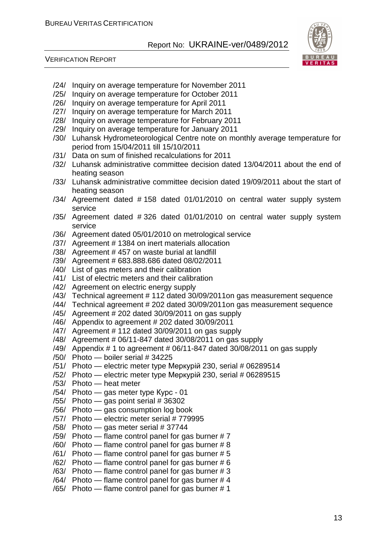

#### VERIFICATION REPORT

- /24/ Inquiry on average temperature for November 2011
- /25/ Inquiry on average temperature for October 2011
- /26/ Inquiry on average temperature for April 2011
- /27/ Inquiry on average temperature for March 2011
- /28/ Inquiry on average temperature for February 2011
- /29/ Inquiry on average temperature for January 2011
- /30/ Luhansk Hydrometeorological Centre note on monthly average temperature for period from 15/04/2011 till 15/10/2011
- /31/ Data on sum of finished recalculations for 2011
- /32/ Luhansk administrative committee decision dated 13/04/2011 about the end of heating season
- /33/ Luhansk administrative committee decision dated 19/09/2011 about the start of heating season
- /34/ Agreement dated # 158 dated 01/01/2010 on central water supply system service
- /35/ Agreement dated # 326 dated 01/01/2010 on central water supply system service
- /36/ Agreement dated 05/01/2010 on metrological service
- /37/ Agreement # 1384 on inert materials allocation
- /38/ Agreement # 457 on waste burial at landfill
- /39/ Agreement # 683.888.686 dated 08/02/2011
- /40/ List of gas meters and their calibration
- /41/ List of electric meters and their calibration
- /42/ Agreement on electric energy supply
- /43/ Technical agreement # 112 dated 30/09/2011on gas measurement sequence
- /44/ Technical agreement # 202 dated 30/09/2011on gas measurement sequence
- /45/ Agreement # 202 dated 30/09/2011 on gas supply
- /46/ Appendix to agreement # 202 dated 30/09/2011
- /47/ Agreement # 112 dated 30/09/2011 on gas supply
- /48/ Agreement # 06/11-847 dated 30/08/2011 on gas supply
- /49/ Appendix # 1 to agreement # 06/11-847 dated 30/08/2011 on gas supply
- /50/ Photo boiler serial # 34225
- /51/ Photo electric meter type Меркурій 230, serial # 06289514
- /52/ Photo electric meter type Меркурій 230, serial # 06289515
- /53/ Photo heat meter
- /54/ Photo gas meter type Курс 01
- $/55/$  Photo  $-$  gas point serial # 36302
- /56/ Photo gas consumption log book
- /57/ Photo electric meter serial # 779995
- /58/ Photo gas meter serial # 37744
- /59/ Photo flame control panel for gas burner # 7
- $/60/$  Photo flame control panel for gas burner #8
- $/61/$  Photo flame control panel for gas burner #5
- $/62/$  Photo flame control panel for gas burner # 6
- /63/ Photo flame control panel for gas burner # 3
- $/64/$  Photo flame control panel for gas burner #4
- /65/ Photo flame control panel for gas burner # 1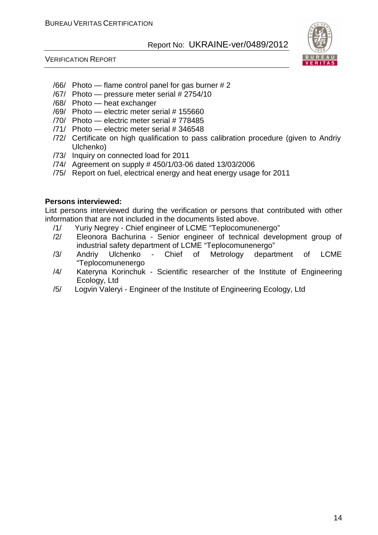

VERIFICATION REPORT

- $/66/$  Photo flame control panel for gas burner # 2
- /67/ Photo pressure meter serial # 2754/10
- /68/ Photo heat exchanger
- /69/ Photo electric meter serial # 155660
- /70/ Photo electric meter serial # 778485
- /71/ Photo electric meter serial # 346548
- /72/ Certificate on high qualification to pass calibration procedure (given to Andriy Ulchenko)
- /73/ Inquiry on connected load for 2011
- /74/ Agreement on supply # 450/1/03-06 dated 13/03/2006
- /75/ Report on fuel, electrical energy and heat energy usage for 2011

#### **Persons interviewed:**

List persons interviewed during the verification or persons that contributed with other information that are not included in the documents listed above.

- /1/ Yuriy Negrey Chief engineer of LCME "Teplocomunenergo"
- /2/ Eleonora Bachurina Senior engineer of technical development group of industrial safety department of LCME "Teplocomunenergo"
- /3/ Andriy Ulchenko Chief of Metrology department of LCME "Teplocomunenergo
- /4/ Kateryna Korinchuk Scientific researcher of the Institute of Engineering Ecology, Ltd
- /5/ Logvin Valeryi Engineer of the Institute of Engineering Ecology, Ltd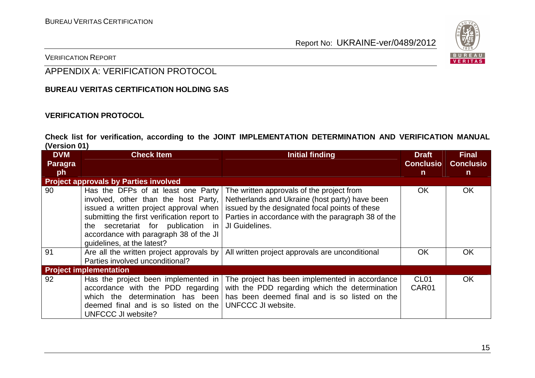

VERIFICATION REPORT

#### APPENDIX A: VERIFICATION PROTOCOL

#### **BUREAU VERITAS CERTIFICATION HOLDING SAS**

#### **VERIFICATION PROTOCOL**

**Check list for verification, according to the JOINT IMPLEMENTATION DETERMINATION AND VERIFICATION MANUAL (Version 01)** 

| <b>DVM</b> | <b>Check Item</b>                                                                                                                                                                                                                                                                 | <b>Initial finding</b>                                                                                                                                                                                                | <b>Draft</b>              | <b>Final</b>     |
|------------|-----------------------------------------------------------------------------------------------------------------------------------------------------------------------------------------------------------------------------------------------------------------------------------|-----------------------------------------------------------------------------------------------------------------------------------------------------------------------------------------------------------------------|---------------------------|------------------|
| Paragra    |                                                                                                                                                                                                                                                                                   |                                                                                                                                                                                                                       | <b>Conclusio</b>          | <b>Conclusio</b> |
| ph         |                                                                                                                                                                                                                                                                                   |                                                                                                                                                                                                                       | $\mathbf n$               | $\mathsf{n}$     |
|            | <b>Project approvals by Parties involved</b>                                                                                                                                                                                                                                      |                                                                                                                                                                                                                       |                           |                  |
| 90         | Has the DFPs of at least one Party<br>involved, other than the host Party,<br>issued a written project approval when<br>submitting the first verification report to<br>the secretariat for publication in<br>accordance with paragraph 38 of the JI<br>quidelines, at the latest? | The written approvals of the project from<br>Netherlands and Ukraine (host party) have been<br>issued by the designated focal points of these<br>Parties in accordance with the paragraph 38 of the<br>JI Guidelines. | <b>OK</b>                 | OK               |
| 91         | Are all the written project approvals by<br>Parties involved unconditional?                                                                                                                                                                                                       | All written project approvals are unconditional                                                                                                                                                                       | OK                        | OK               |
|            | <b>Project implementation</b>                                                                                                                                                                                                                                                     |                                                                                                                                                                                                                       |                           |                  |
| 92         | Has the project been implemented in<br>accordance with the PDD regarding<br>which the determination has been<br>deemed final and is so listed on the<br>UNFCCC JI website?                                                                                                        | The project has been implemented in accordance<br>with the PDD regarding which the determination<br>has been deemed final and is so listed on the<br>UNFCCC JI website.                                               | CL <sub>01</sub><br>CAR01 | <b>OK</b>        |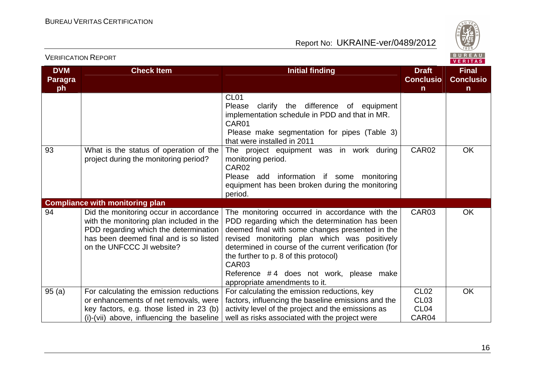

**Final Conclusion** 

 $\overline{OK}$ 

OK

**OK** 

Report No: UKRAINE-ver/0489/2012

| <b>DVM</b><br>Paragra<br>ph | <b>Check Item</b>                                                                                                                                                                                  | Initial finding                                                                                                                                                                                                                                                                                                                                                                                        | <b>Draft</b><br><b>Conclusio</b><br>$\mathsf{n}$                  |  |
|-----------------------------|----------------------------------------------------------------------------------------------------------------------------------------------------------------------------------------------------|--------------------------------------------------------------------------------------------------------------------------------------------------------------------------------------------------------------------------------------------------------------------------------------------------------------------------------------------------------------------------------------------------------|-------------------------------------------------------------------|--|
|                             |                                                                                                                                                                                                    | CL <sub>01</sub><br>clarify the difference of equipment<br>Please<br>implementation schedule in PDD and that in MR.<br>CAR01<br>Please make segmentation for pipes (Table 3)<br>that were installed in 2011                                                                                                                                                                                            |                                                                   |  |
| 93                          | What is the status of operation of the<br>project during the monitoring period?                                                                                                                    | The project equipment was in work during<br>monitoring period.<br>CAR <sub>02</sub><br>Please add information if some monitoring<br>equipment has been broken during the monitoring<br>period.                                                                                                                                                                                                         | CAR02                                                             |  |
|                             | <b>Compliance with monitoring plan</b>                                                                                                                                                             |                                                                                                                                                                                                                                                                                                                                                                                                        |                                                                   |  |
| 94                          | Did the monitoring occur in accordance<br>with the monitoring plan included in the<br>PDD regarding which the determination<br>has been deemed final and is so listed<br>on the UNFCCC JI website? | The monitoring occurred in accordance with the<br>PDD regarding which the determination has been<br>deemed final with some changes presented in the<br>revised monitoring plan which was positively<br>determined in course of the current verification (for<br>the further to p. 8 of this protocol)<br>CAR <sub>03</sub><br>Reference #4 does not work, please make<br>appropriate amendments to it. | CAR03                                                             |  |
| 95 (a)                      | For calculating the emission reductions<br>or enhancements of net removals, were<br>key factors, e.g. those listed in 23 (b)<br>(i)-(vii) above, influencing the baseline                          | For calculating the emission reductions, key<br>factors, influencing the baseline emissions and the<br>activity level of the project and the emissions as<br>well as risks associated with the project were                                                                                                                                                                                            | CL <sub>02</sub><br>CL <sub>03</sub><br>CL <sub>04</sub><br>CAR04 |  |

VERIFICATION REPORT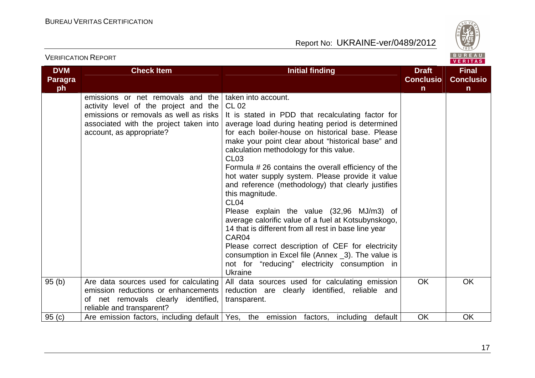

|                                    |                                                                                                                                                                                              |                                                                                                                                                                                                                                                                                                                                                                                                                                                                                                                                                                                                                                                                                                                                                                                                                                                                         |                                                  | VERITAS                                          |
|------------------------------------|----------------------------------------------------------------------------------------------------------------------------------------------------------------------------------------------|-------------------------------------------------------------------------------------------------------------------------------------------------------------------------------------------------------------------------------------------------------------------------------------------------------------------------------------------------------------------------------------------------------------------------------------------------------------------------------------------------------------------------------------------------------------------------------------------------------------------------------------------------------------------------------------------------------------------------------------------------------------------------------------------------------------------------------------------------------------------------|--------------------------------------------------|--------------------------------------------------|
| <b>DVM</b><br><b>Paragra</b><br>ph | <b>Check Item</b>                                                                                                                                                                            | <b>Initial finding</b>                                                                                                                                                                                                                                                                                                                                                                                                                                                                                                                                                                                                                                                                                                                                                                                                                                                  | <b>Draft</b><br><b>Conclusio</b><br>$\mathsf{n}$ | <b>Final</b><br><b>Conclusio</b><br>$\mathsf{n}$ |
|                                    | emissions or net removals and the<br>activity level of the project and the<br>emissions or removals as well as risks<br>associated with the project taken into  <br>account, as appropriate? | taken into account.<br>CL 02<br>It is stated in PDD that recalculating factor for<br>average load during heating period is determined<br>for each boiler-house on historical base. Please<br>make your point clear about "historical base" and<br>calculation methodology for this value.<br>CL <sub>03</sub><br>Formula #26 contains the overall efficiency of the<br>hot water supply system. Please provide it value<br>and reference (methodology) that clearly justifies<br>this magnitude.<br>CL <sub>04</sub><br>Please explain the value (32,96 MJ/m3) of<br>average calorific value of a fuel at Kotsubynskogo,<br>14 that is different from all rest in base line year<br>CAR04<br>Please correct description of CEF for electricity<br>consumption in Excel file (Annex _3). The value is<br>not for "reducing" electricity consumption in<br><b>Ukraine</b> |                                                  |                                                  |
| 95(b)                              | Are data sources used for calculating<br>emission reductions or enhancements<br>of net removals clearly identified,<br>reliable and transparent?                                             | All data sources used for calculating emission<br>reduction are clearly identified, reliable and<br>transparent.                                                                                                                                                                                                                                                                                                                                                                                                                                                                                                                                                                                                                                                                                                                                                        | <b>OK</b>                                        | <b>OK</b>                                        |
| 95(c)                              |                                                                                                                                                                                              | Are emission factors, including default   Yes, the emission factors, including default                                                                                                                                                                                                                                                                                                                                                                                                                                                                                                                                                                                                                                                                                                                                                                                  | <b>OK</b>                                        | <b>OK</b>                                        |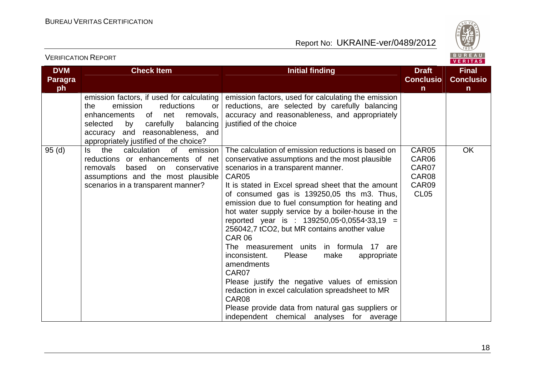| <b>VERIFICATION REPORT</b>         |                                                                                                                                                                                                                                                      |                                                                                                                                                                                                                                                                                                                                                                                                                                                                                                                                                                                                                                                                                                                                                                                                                        | BUREAU<br><b>VERITAS</b>                                 |                                                  |
|------------------------------------|------------------------------------------------------------------------------------------------------------------------------------------------------------------------------------------------------------------------------------------------------|------------------------------------------------------------------------------------------------------------------------------------------------------------------------------------------------------------------------------------------------------------------------------------------------------------------------------------------------------------------------------------------------------------------------------------------------------------------------------------------------------------------------------------------------------------------------------------------------------------------------------------------------------------------------------------------------------------------------------------------------------------------------------------------------------------------------|----------------------------------------------------------|--------------------------------------------------|
| <b>DVM</b><br><b>Paragra</b><br>ph | <b>Check Item</b>                                                                                                                                                                                                                                    | <b>Initial finding</b>                                                                                                                                                                                                                                                                                                                                                                                                                                                                                                                                                                                                                                                                                                                                                                                                 | <b>Draft</b><br><b>Conclusio</b><br>n                    | <b>Final</b><br><b>Conclusio</b><br>$\mathsf{n}$ |
|                                    | emission factors, if used for calculating<br>emission<br>reductions<br>the<br>or<br>enhancements<br>of<br>net<br>removals,<br>carefully<br>balancing<br>selected<br>by<br>accuracy and reasonableness, and<br>appropriately justified of the choice? | emission factors, used for calculating the emission<br>reductions, are selected by carefully balancing<br>accuracy and reasonableness, and appropriately<br>justified of the choice                                                                                                                                                                                                                                                                                                                                                                                                                                                                                                                                                                                                                                    |                                                          |                                                  |
| 95(d)                              | calculation<br>$\circ$ f<br>the<br>emission<br>ls.<br>reductions or enhancements of net<br>removals<br>based<br>conservative<br>on<br>assumptions and the most plausible<br>scenarios in a transparent manner?                                       | The calculation of emission reductions is based on<br>conservative assumptions and the most plausible<br>scenarios in a transparent manner.<br>CAR05<br>It is stated in Excel spread sheet that the amount<br>of consumed gas is 139250,05 ths m3. Thus,<br>emission due to fuel consumption for heating and<br>hot water supply service by a boiler-house in the<br>reported year is : 139250,05 0,0554 33,19 =<br>256042,7 tCO2, but MR contains another value<br><b>CAR 06</b><br>The measurement units in formula 17 are<br>inconsistent.<br>Please<br>make<br>appropriate<br>amendments<br>CAR07<br>Please justify the negative values of emission<br>redaction in excel calculation spreadsheet to MR<br>CAR08<br>Please provide data from natural gas suppliers or<br>independent chemical analyses for average | CAR05<br>CAR06<br>CAR07<br>CAR08<br>CAR09<br><b>CL05</b> | <b>OK</b>                                        |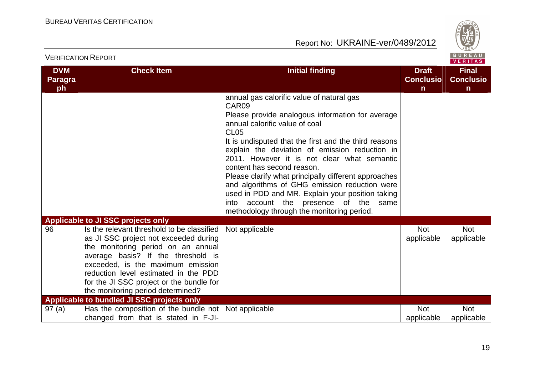

|                              |                                                                                                                                                                                                                                                                                                                               |                                                                                                                                                                                                                                                                                                                                                                                                                                                                                                                                                                                                           |                                  | $V = H + H - H$                  |
|------------------------------|-------------------------------------------------------------------------------------------------------------------------------------------------------------------------------------------------------------------------------------------------------------------------------------------------------------------------------|-----------------------------------------------------------------------------------------------------------------------------------------------------------------------------------------------------------------------------------------------------------------------------------------------------------------------------------------------------------------------------------------------------------------------------------------------------------------------------------------------------------------------------------------------------------------------------------------------------------|----------------------------------|----------------------------------|
| <b>DVM</b><br><b>Paragra</b> | <b>Check Item</b>                                                                                                                                                                                                                                                                                                             | <b>Initial finding</b>                                                                                                                                                                                                                                                                                                                                                                                                                                                                                                                                                                                    | <b>Draft</b><br><b>Conclusio</b> | <b>Final</b><br><b>Conclusio</b> |
| ph                           |                                                                                                                                                                                                                                                                                                                               |                                                                                                                                                                                                                                                                                                                                                                                                                                                                                                                                                                                                           | $\mathsf{n}$                     | $\mathsf{n}$                     |
|                              |                                                                                                                                                                                                                                                                                                                               | annual gas calorific value of natural gas<br>CAR09<br>Please provide analogous information for average<br>annual calorific value of coal<br><b>CL05</b><br>It is undisputed that the first and the third reasons<br>explain the deviation of emission reduction in<br>2011. However it is not clear what semantic<br>content has second reason.<br>Please clarify what principally different approaches<br>and algorithms of GHG emission reduction were<br>used in PDD and MR. Explain your position taking<br>account the presence of the<br>into<br>same<br>methodology through the monitoring period. |                                  |                                  |
|                              | Applicable to JI SSC projects only                                                                                                                                                                                                                                                                                            |                                                                                                                                                                                                                                                                                                                                                                                                                                                                                                                                                                                                           |                                  |                                  |
| 96                           | Is the relevant threshold to be classified<br>as JI SSC project not exceeded during<br>the monitoring period on an annual<br>average basis? If the threshold is<br>exceeded, is the maximum emission<br>reduction level estimated in the PDD<br>for the JI SSC project or the bundle for<br>the monitoring period determined? | Not applicable                                                                                                                                                                                                                                                                                                                                                                                                                                                                                                                                                                                            | <b>Not</b><br>applicable         | <b>Not</b><br>applicable         |
|                              | Applicable to bundled JI SSC projects only                                                                                                                                                                                                                                                                                    |                                                                                                                                                                                                                                                                                                                                                                                                                                                                                                                                                                                                           |                                  |                                  |
| 97(a)                        | Has the composition of the bundle not<br>changed from that is stated in F-JI-                                                                                                                                                                                                                                                 | Not applicable                                                                                                                                                                                                                                                                                                                                                                                                                                                                                                                                                                                            | <b>Not</b><br>applicable         | <b>Not</b><br>applicable         |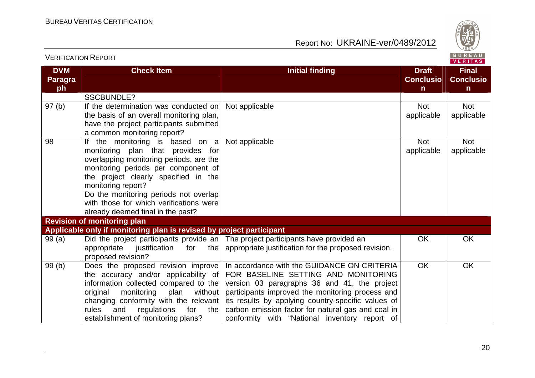VERIFICATION REPORT

REAU<br>LITAS

|  |  | o |
|--|--|---|
|  |  |   |

| <b>DVM</b><br><b>Paragra</b> | <b>Check Item</b>                                                    | <b>Initial finding</b>                                                            | <b>Draft</b><br><b>Conclusio</b> | <b>Final</b><br><b>Conclusio</b> |
|------------------------------|----------------------------------------------------------------------|-----------------------------------------------------------------------------------|----------------------------------|----------------------------------|
| ph                           |                                                                      |                                                                                   | $\mathsf{n}$                     | $\mathsf{n}$                     |
|                              | <b>SSCBUNDLE?</b>                                                    |                                                                                   |                                  |                                  |
| 97(b)                        | If the determination was conducted on                                | Not applicable                                                                    | <b>Not</b>                       | Not                              |
|                              | the basis of an overall monitoring plan,                             |                                                                                   | applicable                       | applicable                       |
|                              | have the project participants submitted                              |                                                                                   |                                  |                                  |
|                              | a common monitoring report?                                          |                                                                                   |                                  |                                  |
| 98                           | If the monitoring is based on a                                      | Not applicable                                                                    | <b>Not</b>                       | <b>Not</b>                       |
|                              | monitoring plan that provides for                                    |                                                                                   | applicable                       | applicable                       |
|                              | overlapping monitoring periods, are the                              |                                                                                   |                                  |                                  |
|                              | monitoring periods per component of                                  |                                                                                   |                                  |                                  |
|                              | the project clearly specified in the                                 |                                                                                   |                                  |                                  |
|                              | monitoring report?                                                   |                                                                                   |                                  |                                  |
|                              | Do the monitoring periods not overlap                                |                                                                                   |                                  |                                  |
|                              | with those for which verifications were                              |                                                                                   |                                  |                                  |
|                              | already deemed final in the past?                                    |                                                                                   |                                  |                                  |
|                              | <b>Revision of monitoring plan</b>                                   |                                                                                   |                                  |                                  |
|                              | Applicable only if monitoring plan is revised by project participant |                                                                                   |                                  |                                  |
| 99(a)                        |                                                                      | Did the project participants provide an The project participants have provided an | OK                               | OK                               |
|                              | appropriate<br>for<br>the I<br>justification                         | appropriate justification for the proposed revision.                              |                                  |                                  |
|                              | proposed revision?                                                   |                                                                                   |                                  |                                  |
| 99(b)                        | Does the proposed revision improve                                   | In accordance with the GUIDANCE ON CRITERIA                                       | <b>OK</b>                        | OK                               |
|                              | the accuracy and/or applicability of                                 | FOR BASELINE SETTING AND MONITORING                                               |                                  |                                  |
|                              | information collected compared to the                                | version 03 paragraphs 36 and 41, the project                                      |                                  |                                  |
|                              | without  <br>original<br>monitoring<br>plan                          | participants improved the monitoring process and                                  |                                  |                                  |
|                              | changing conformity with the relevant                                | its results by applying country-specific values of                                |                                  |                                  |
|                              | rules<br>and<br>regulations<br>for<br>the                            | carbon emission factor for natural gas and coal in                                |                                  |                                  |
|                              | establishment of monitoring plans?                                   | conformity with "National inventory report of                                     |                                  |                                  |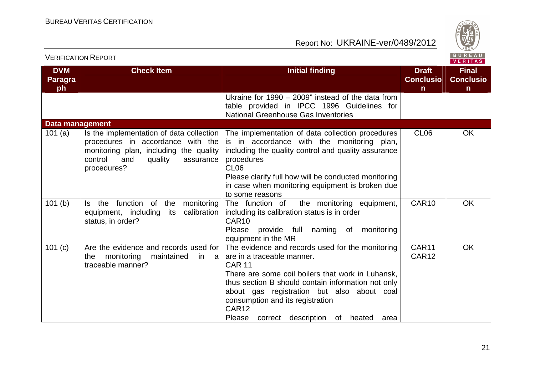

|                             | <b>VERIFICATION REPORT</b>                                                                                                                                                       |                                                                                                                                                                                                                                                                                                                                                       |                                                  | BUREAU<br><b>VERITAS</b>                         |
|-----------------------------|----------------------------------------------------------------------------------------------------------------------------------------------------------------------------------|-------------------------------------------------------------------------------------------------------------------------------------------------------------------------------------------------------------------------------------------------------------------------------------------------------------------------------------------------------|--------------------------------------------------|--------------------------------------------------|
| <b>DVM</b><br>Paragra<br>ph | <b>Check Item</b>                                                                                                                                                                | <b>Initial finding</b>                                                                                                                                                                                                                                                                                                                                | <b>Draft</b><br><b>Conclusio</b><br>$\mathsf{n}$ | <b>Final</b><br><b>Conclusio</b><br>$\mathsf{n}$ |
|                             |                                                                                                                                                                                  | Ukraine for 1990 - 2009" instead of the data from<br>table provided in IPCC 1996 Guidelines for<br><b>National Greenhouse Gas Inventories</b>                                                                                                                                                                                                         |                                                  |                                                  |
| <b>Data management</b>      |                                                                                                                                                                                  |                                                                                                                                                                                                                                                                                                                                                       |                                                  |                                                  |
| 101 $(a)$                   | Is the implementation of data collection<br>procedures in accordance with the<br>monitoring plan, including the quality<br>control<br>quality<br>and<br>assurance<br>procedures? | The implementation of data collection procedures<br>is in accordance with the monitoring plan,<br>including the quality control and quality assurance<br>procedures<br>CL <sub>06</sub><br>Please clarify full how will be conducted monitoring<br>in case when monitoring equipment is broken due<br>to some reasons                                 | CL <sub>06</sub>                                 | <b>OK</b>                                        |
| 101(b)                      | function of the<br>Is the<br>monitoring<br>calibration<br>equipment, including<br>its<br>status, in order?                                                                       | The function of the monitoring equipment,<br>including its calibration status is in order<br>CAR10<br>Please<br>provide full naming of monitoring<br>equipment in the MR                                                                                                                                                                              | CAR <sub>10</sub>                                | <b>OK</b>                                        |
| 101 $(c)$                   | Are the evidence and records used for<br>the monitoring<br>maintained<br>in a<br>traceable manner?                                                                               | The evidence and records used for the monitoring<br>are in a traceable manner.<br><b>CAR 11</b><br>There are some coil boilers that work in Luhansk,<br>thus section B should contain information not only<br>about gas registration but also about coal<br>consumption and its registration<br>CAR12<br>Please correct description of heated<br>area | CAR11<br>CAR <sub>12</sub>                       | OK                                               |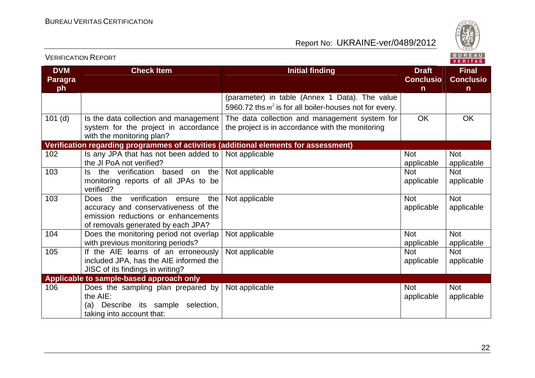

| <b>VERIFICATION REPORT</b>         |                                                                                                                                                          |                                                                                                             |                                       | BUREAU<br><b>VERITAS</b>                         |
|------------------------------------|----------------------------------------------------------------------------------------------------------------------------------------------------------|-------------------------------------------------------------------------------------------------------------|---------------------------------------|--------------------------------------------------|
| <b>DVM</b><br><b>Paragra</b><br>ph | <b>Check Item</b>                                                                                                                                        | <b>Initial finding</b>                                                                                      | <b>Draft</b><br><b>Conclusio</b><br>n | <b>Final</b><br><b>Conclusio</b><br>$\mathsf{n}$ |
|                                    |                                                                                                                                                          | (parameter) in table (Annex 1 Data). The value<br>5960.72 ths $m^2$ is for all boiler-houses not for every. |                                       |                                                  |
| $101$ (d)                          | Is the data collection and management<br>system for the project in accordance<br>with the monitoring plan?                                               | The data collection and management system for<br>the project is in accordance with the monitoring           | <b>OK</b>                             | <b>OK</b>                                        |
|                                    | Verification regarding programmes of activities (additional elements for assessment)                                                                     |                                                                                                             |                                       |                                                  |
| 102                                | Is any JPA that has not been added to<br>the JI PoA not verified?                                                                                        | Not applicable                                                                                              | <b>Not</b><br>applicable              | <b>Not</b><br>applicable                         |
| 103                                | Is the verification based on the<br>monitoring reports of all JPAs to be<br>verified?                                                                    | Not applicable                                                                                              | <b>Not</b><br>applicable              | <b>Not</b><br>applicable                         |
| 103                                | Does the verification ensure<br>the<br>accuracy and conservativeness of the<br>emission reductions or enhancements<br>of removals generated by each JPA? | Not applicable                                                                                              | <b>Not</b><br>applicable              | <b>Not</b><br>applicable                         |
| 104                                | Does the monitoring period not overlap<br>with previous monitoring periods?                                                                              | Not applicable                                                                                              | <b>Not</b><br>applicable              | <b>Not</b><br>applicable                         |
| 105                                | If the AIE learns of an erroneously<br>included JPA, has the AIE informed the<br>JISC of its findings in writing?                                        | Not applicable                                                                                              | <b>Not</b><br>applicable              | <b>Not</b><br>applicable                         |
|                                    | Applicable to sample-based approach only                                                                                                                 |                                                                                                             |                                       |                                                  |
| 106                                | Does the sampling plan prepared by<br>the AIE:<br>Describe its sample selection,<br>(a)<br>taking into account that:                                     | Not applicable                                                                                              | <b>Not</b><br>applicable              | <b>Not</b><br>applicable                         |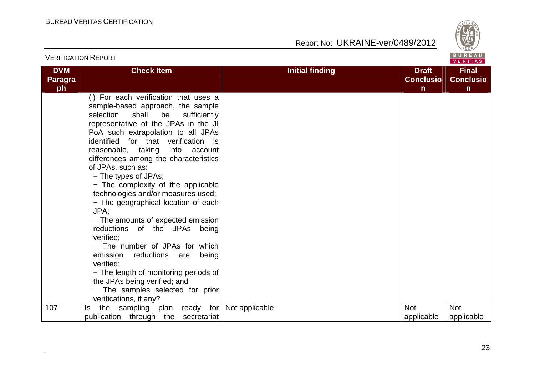

| <b>VERIFICATION REPORT</b>         |                                                                                                                                                                                                                                                                                                                                                                                                                                                                                                                                                                                                                                                                                                                                                                                                                          |                        |                                                  | BUREAU<br><b>VERITAS</b>                         |
|------------------------------------|--------------------------------------------------------------------------------------------------------------------------------------------------------------------------------------------------------------------------------------------------------------------------------------------------------------------------------------------------------------------------------------------------------------------------------------------------------------------------------------------------------------------------------------------------------------------------------------------------------------------------------------------------------------------------------------------------------------------------------------------------------------------------------------------------------------------------|------------------------|--------------------------------------------------|--------------------------------------------------|
| <b>DVM</b><br><b>Paragra</b><br>ph | <b>Check Item</b>                                                                                                                                                                                                                                                                                                                                                                                                                                                                                                                                                                                                                                                                                                                                                                                                        | <b>Initial finding</b> | <b>Draft</b><br><b>Conclusio</b><br>$\mathsf{n}$ | <b>Final</b><br><b>Conclusio</b><br>$\mathsf{n}$ |
|                                    | (i) For each verification that uses a<br>sample-based approach, the sample<br>selection<br>shall<br>be<br>sufficiently<br>representative of the JPAs in the JI<br>PoA such extrapolation to all JPAs<br>identified for that verification is<br>reasonable, taking<br>into<br>account<br>differences among the characteristics<br>of JPAs, such as:<br>- The types of JPAs;<br>- The complexity of the applicable<br>technologies and/or measures used;<br>- The geographical location of each<br>JPA:<br>- The amounts of expected emission<br>reductions of the JPAs being<br>verified;<br>- The number of JPAs for which<br>emission<br>reductions<br>being<br>are<br>verified:<br>- The length of monitoring periods of<br>the JPAs being verified; and<br>- The samples selected for prior<br>verifications, if any? |                        |                                                  |                                                  |
| 107                                | plan ready for<br>the<br>sampling<br>ls.<br>publication through the<br>secretariat                                                                                                                                                                                                                                                                                                                                                                                                                                                                                                                                                                                                                                                                                                                                       | Not applicable         | <b>Not</b><br>applicable                         | <b>Not</b><br>applicable                         |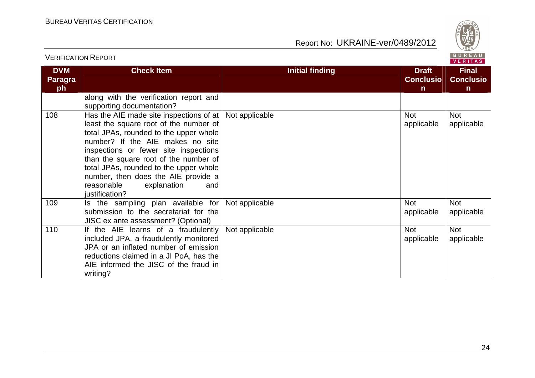

|                                    |                                                                                                                                                                                                                                                                                                                                                                                          |                                                                            | VERIIAS                                          |
|------------------------------------|------------------------------------------------------------------------------------------------------------------------------------------------------------------------------------------------------------------------------------------------------------------------------------------------------------------------------------------------------------------------------------------|----------------------------------------------------------------------------|--------------------------------------------------|
| <b>DVM</b><br><b>Paragra</b><br>ph | <b>Check Item</b>                                                                                                                                                                                                                                                                                                                                                                        | <b>Draft</b><br><b>Initial finding</b><br><b>Conclusio</b><br>$\mathsf{n}$ | <b>Final</b><br><b>Conclusio</b><br>$\mathsf{n}$ |
|                                    | along with the verification report and<br>supporting documentation?                                                                                                                                                                                                                                                                                                                      |                                                                            |                                                  |
| 108                                | Has the AIE made site inspections of at<br>least the square root of the number of<br>total JPAs, rounded to the upper whole<br>number? If the AIE makes no site<br>inspections or fewer site inspections<br>than the square root of the number of<br>total JPAs, rounded to the upper whole<br>number, then does the AIE provide a<br>reasonable<br>explanation<br>and<br>justification? | Not applicable<br><b>Not</b><br>applicable                                 | <b>Not</b><br>applicable                         |
| 109                                | Is the sampling plan available for<br>submission to the secretariat for the<br>JISC ex ante assessment? (Optional)                                                                                                                                                                                                                                                                       | <b>Not</b><br>Not applicable<br>applicable                                 | <b>Not</b><br>applicable                         |
| 110                                | If the AIE learns of a fraudulently<br>included JPA, a fraudulently monitored<br>JPA or an inflated number of emission<br>reductions claimed in a JI PoA, has the<br>AIE informed the JISC of the fraud in<br>writing?                                                                                                                                                                   | <b>Not</b><br>Not applicable<br>applicable                                 | Not<br>applicable                                |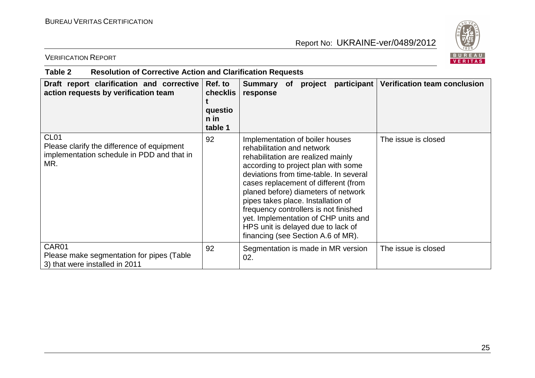

VERIFICATION REPORT

| Draft report clarification and corrective<br>action requests by verification team                                   | Ref. to<br><b>checklis</b><br>questio<br>n in<br>table 1 | <b>Summary</b><br>of<br>response                                                                                                                                                                                                                                                                                                                                                                                                                                       | project participant   Verification team conclusion |
|---------------------------------------------------------------------------------------------------------------------|----------------------------------------------------------|------------------------------------------------------------------------------------------------------------------------------------------------------------------------------------------------------------------------------------------------------------------------------------------------------------------------------------------------------------------------------------------------------------------------------------------------------------------------|----------------------------------------------------|
| CL <sub>01</sub><br>Please clarify the difference of equipment<br>implementation schedule in PDD and that in<br>MR. | 92                                                       | Implementation of boiler houses<br>rehabilitation and network<br>rehabilitation are realized mainly<br>according to project plan with some<br>deviations from time-table. In several<br>cases replacement of different (from<br>planed before) diameters of network<br>pipes takes place. Installation of<br>frequency controllers is not finished<br>yet. Implementation of CHP units and<br>HPS unit is delayed due to lack of<br>financing (see Section A.6 of MR). | The issue is closed                                |
| CAR <sub>01</sub><br>Please make segmentation for pipes (Table<br>3) that were installed in 2011                    | 92                                                       | Segmentation is made in MR version<br>02.                                                                                                                                                                                                                                                                                                                                                                                                                              | The issue is closed                                |

**Table 2 Resolution of Corrective Action and Clarification Requests**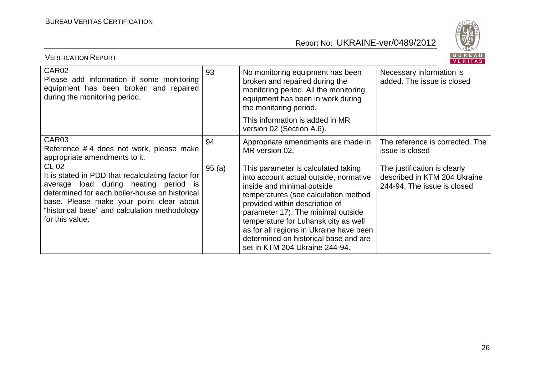

| BUREAU<br><b>VERIFICATION REPORT</b><br><b>VERITAS</b>                                                                                                                                                                                                                       |       |                                                                                                                                                                                                                                                                                                                                                                                           |                                                                                             |  |  |  |
|------------------------------------------------------------------------------------------------------------------------------------------------------------------------------------------------------------------------------------------------------------------------------|-------|-------------------------------------------------------------------------------------------------------------------------------------------------------------------------------------------------------------------------------------------------------------------------------------------------------------------------------------------------------------------------------------------|---------------------------------------------------------------------------------------------|--|--|--|
| CAR <sub>02</sub><br>Please add information if some monitoring<br>equipment has been broken and repaired<br>during the monitoring period.                                                                                                                                    | 93    | No monitoring equipment has been<br>broken and repaired during the<br>monitoring period. All the monitoring<br>equipment has been in work during<br>the monitoring period.                                                                                                                                                                                                                | Necessary information is<br>added. The issue is closed                                      |  |  |  |
|                                                                                                                                                                                                                                                                              |       | This information is added in MR<br>version 02 (Section A.6).                                                                                                                                                                                                                                                                                                                              |                                                                                             |  |  |  |
| CAR <sub>03</sub><br>Reference #4 does not work, please make<br>appropriate amendments to it.                                                                                                                                                                                | 94    | Appropriate amendments are made in<br>MR version 02.                                                                                                                                                                                                                                                                                                                                      | The reference is corrected. The<br>issue is closed                                          |  |  |  |
| <b>CL 02</b><br>It is stated in PDD that recalculating factor for<br>average load during heating period is<br>determined for each boiler-house on historical<br>base. Please make your point clear about<br>"historical base" and calculation methodology<br>for this value. | 95(a) | This parameter is calculated taking<br>into account actual outside, normative<br>inside and minimal outside<br>temperatures (see calculation method<br>provided within description of<br>parameter 17). The minimal outside<br>temperature for Luhansk city as well<br>as for all regions in Ukraine have been<br>determined on historical base and are<br>set in KTM 204 Ukraine 244-94. | The justification is clearly<br>described in KTM 204 Ukraine<br>244-94. The issue is closed |  |  |  |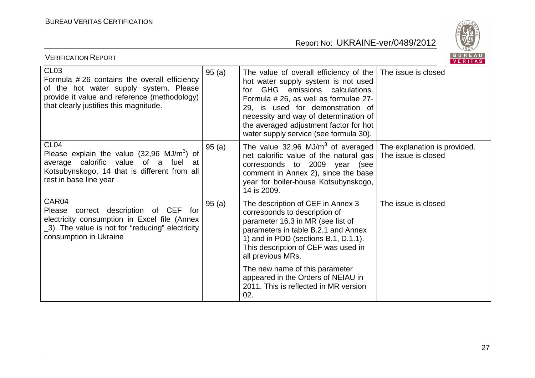

| BUREAU<br><b>VERIFICATION REPORT</b><br><b>VERITAS</b>                                                                                                                                              |       |                                                                                                                                                                                                                                                                                                                                   |                     |  |
|-----------------------------------------------------------------------------------------------------------------------------------------------------------------------------------------------------|-------|-----------------------------------------------------------------------------------------------------------------------------------------------------------------------------------------------------------------------------------------------------------------------------------------------------------------------------------|---------------------|--|
| CL <sub>03</sub><br>Formula #26 contains the overall efficiency<br>of the hot water supply system. Please<br>provide it value and reference (methodology)<br>that clearly justifies this magnitude. | 95(a) | The value of overall efficiency of the $ $<br>hot water supply system is not used<br>GHG emissions calculations.<br>for<br>Formula # 26, as well as formulae 27-<br>29, is used for demonstration of<br>necessity and way of determination of<br>the averaged adjustment factor for hot<br>water supply service (see formula 30). | The issue is closed |  |
| CL <sub>04</sub><br>Please explain the value $(32,96 \text{ MJ/m}^3)$ of<br>average calorific value of a fuel at<br>Kotsubynskogo, 14 that is different from all<br>rest in base line year          | 95(a) | The value 32,96 MJ/m <sup>3</sup> of averaged The explanation is provided.<br>net calorific value of the natural gas<br>corresponds to 2009 year<br>(see<br>comment in Annex 2), since the base<br>year for boiler-house Kotsubynskogo,<br>14 is 2009.                                                                            | The issue is closed |  |
| CAR04<br>Please correct description of CEF for<br>electricity consumption in Excel file (Annex<br>_3). The value is not for "reducing" electricity<br>consumption in Ukraine                        | 95(a) | The description of CEF in Annex 3<br>corresponds to description of<br>parameter 16.3 in MR (see list of<br>parameters in table B.2.1 and Annex<br>1) and in PDD (sections B.1, D.1.1).<br>This description of CEF was used in<br>all previous MRs.                                                                                | The issue is closed |  |
|                                                                                                                                                                                                     |       | The new name of this parameter<br>appeared in the Orders of NEIAU in<br>2011. This is reflected in MR version<br>02.                                                                                                                                                                                                              |                     |  |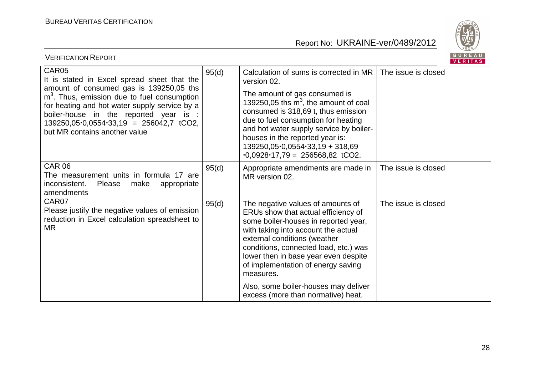

| BUREAU<br><b>VERIFICATION REPORT</b><br><b>VERITAS</b>                                                                                                                                                                                                                                                                                      |       |                                                                                                                                                                                                                                                                                                                                                                                          |                     |  |
|---------------------------------------------------------------------------------------------------------------------------------------------------------------------------------------------------------------------------------------------------------------------------------------------------------------------------------------------|-------|------------------------------------------------------------------------------------------------------------------------------------------------------------------------------------------------------------------------------------------------------------------------------------------------------------------------------------------------------------------------------------------|---------------------|--|
| CAR05<br>It is stated in Excel spread sheet that the<br>amount of consumed gas is 139250,05 ths<br>m <sup>3</sup> . Thus, emission due to fuel consumption<br>for heating and hot water supply service by a<br>boiler-house in the reported year is :<br>$139250,05.0,0554.33,19 = 256042,7 \text{ tCO2},$<br>but MR contains another value | 95(d) | Calculation of sums is corrected in MR<br>version 02.<br>The amount of gas consumed is<br>139250,05 ths $m3$ , the amount of coal<br>consumed is 318,69 t, thus emission<br>due to fuel consumption for heating<br>and hot water supply service by boiler-<br>houses in the reported year is:<br>$139250,05.0554.33,19 + 318,69$<br>$\cdot 0.0928 \cdot 17.79 = 256568.82 \text{ tCO2}.$ | The issue is closed |  |
| <b>CAR 06</b><br>The measurement units in formula 17 are<br>inconsistent.<br>Please<br>make<br>appropriate<br>amendments                                                                                                                                                                                                                    | 95(d) | Appropriate amendments are made in<br>MR version 02.                                                                                                                                                                                                                                                                                                                                     | The issue is closed |  |
| CAR07<br>Please justify the negative values of emission<br>reduction in Excel calculation spreadsheet to<br><b>MR</b>                                                                                                                                                                                                                       | 95(d) | The negative values of amounts of<br>ERUs show that actual efficiency of<br>some boiler-houses in reported year,<br>with taking into account the actual<br>external conditions (weather<br>conditions, connected load, etc.) was<br>lower then in base year even despite<br>of implementation of energy saving<br>measures.<br>Also, some boiler-houses may deliver                      | The issue is closed |  |
|                                                                                                                                                                                                                                                                                                                                             |       | excess (more than normative) heat.                                                                                                                                                                                                                                                                                                                                                       |                     |  |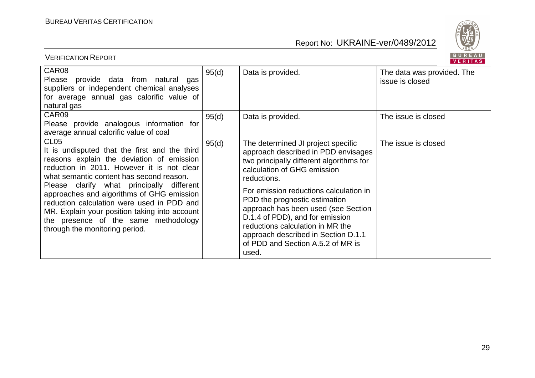

|                                                                                                                                                                                                                                                                                                                                                                                                                                                                             |       |                                                                                                                                                                                                                                                                                                                                                                                                                                                   | VENII MOJ                                     |
|-----------------------------------------------------------------------------------------------------------------------------------------------------------------------------------------------------------------------------------------------------------------------------------------------------------------------------------------------------------------------------------------------------------------------------------------------------------------------------|-------|---------------------------------------------------------------------------------------------------------------------------------------------------------------------------------------------------------------------------------------------------------------------------------------------------------------------------------------------------------------------------------------------------------------------------------------------------|-----------------------------------------------|
| CAR08<br>provide data from natural gas<br>Please<br>suppliers or independent chemical analyses<br>for average annual gas calorific value of<br>natural gas                                                                                                                                                                                                                                                                                                                  | 95(d) | Data is provided.                                                                                                                                                                                                                                                                                                                                                                                                                                 | The data was provided. The<br>issue is closed |
| CAR09<br>Please provide analogous information for<br>average annual calorific value of coal                                                                                                                                                                                                                                                                                                                                                                                 | 95(d) | Data is provided.                                                                                                                                                                                                                                                                                                                                                                                                                                 | The issue is closed                           |
| CL <sub>05</sub><br>It is undisputed that the first and the third<br>reasons explain the deviation of emission<br>reduction in 2011. However it is not clear<br>what semantic content has second reason.<br>Please clarify what principally different<br>approaches and algorithms of GHG emission<br>reduction calculation were used in PDD and<br>MR. Explain your position taking into account<br>the presence of the same methodology<br>through the monitoring period. | 95(d) | The determined JI project specific<br>approach described in PDD envisages<br>two principally different algorithms for<br>calculation of GHG emission<br>reductions.<br>For emission reductions calculation in<br>PDD the prognostic estimation<br>approach has been used (see Section<br>D.1.4 of PDD), and for emission<br>reductions calculation in MR the<br>approach described in Section D.1.1<br>of PDD and Section A.5.2 of MR is<br>used. | The issue is closed                           |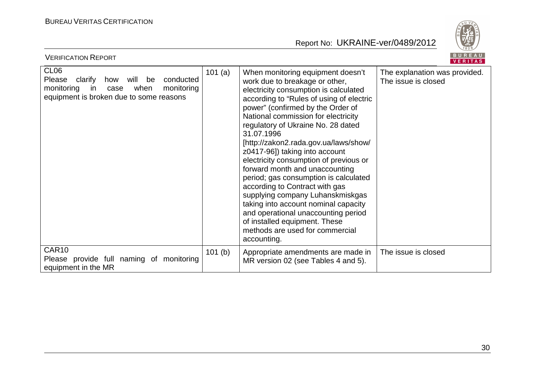

| <b>VERIFICATION REPORT</b>                                                                                                                                     |        |                                                                                                                                                                                                                                                                                                                                                                                                                                                                                                                                                                                                                                                                                                                                  | BUREAU<br>VERITAS                                    |
|----------------------------------------------------------------------------------------------------------------------------------------------------------------|--------|----------------------------------------------------------------------------------------------------------------------------------------------------------------------------------------------------------------------------------------------------------------------------------------------------------------------------------------------------------------------------------------------------------------------------------------------------------------------------------------------------------------------------------------------------------------------------------------------------------------------------------------------------------------------------------------------------------------------------------|------------------------------------------------------|
| CL <sub>06</sub><br>clarify<br>how will be<br>conducted<br>Please<br>monitoring<br>in<br>when<br>monitoring<br>case<br>equipment is broken due to some reasons | 101(a) | When monitoring equipment doesn't<br>work due to breakage or other,<br>electricity consumption is calculated<br>according to "Rules of using of electric<br>power" (confirmed by the Order of<br>National commission for electricity<br>regulatory of Ukraine No. 28 dated<br>31.07.1996<br>[http://zakon2.rada.gov.ua/laws/show/<br>z0417-96]) taking into account<br>electricity consumption of previous or<br>forward month and unaccounting<br>period; gas consumption is calculated<br>according to Contract with gas<br>supplying company Luhanskmiskgas<br>taking into account nominal capacity<br>and operational unaccounting period<br>of installed equipment. These<br>methods are used for commercial<br>accounting. | The explanation was provided.<br>The issue is closed |
| CAR10<br>Please provide full naming of monitoring<br>equipment in the MR                                                                                       | 101(b) | Appropriate amendments are made in<br>MR version 02 (see Tables 4 and 5).                                                                                                                                                                                                                                                                                                                                                                                                                                                                                                                                                                                                                                                        | The issue is closed                                  |